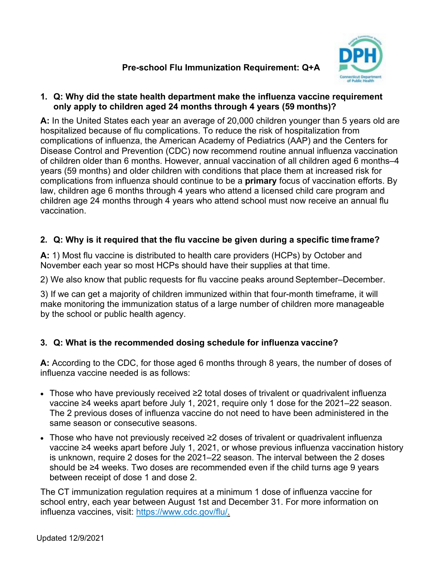# **Pre-school Flu Immunization Requirement: Q+A**



### **1. Q: Why did the state health department make the influenza vaccine requirement only apply to children aged 24 months through 4 years (59 months)?**

**A:** In the United States each year an average of 20,000 children younger than 5 years old are hospitalized because of flu complications. To reduce the risk of hospitalization from complications of influenza, the American Academy of Pediatrics (AAP) and the Centers for Disease Control and Prevention (CDC) now recommend routine annual influenza vaccination of children older than 6 months. However, annual vaccination of all children aged 6 months–4 years (59 months) and older children with conditions that place them at increased risk for complications from influenza should continue to be a **primary** focus of vaccination efforts. By law, children age 6 months through 4 years who attend a licensed child care program and children age 24 months through 4 years who attend school must now receive an annual flu vaccination.

## **2. Q: Why is it required that the flu vaccine be given during a specific time frame?**

**A:** 1) Most flu vaccine is distributed to health care providers (HCPs) by October and November each year so most HCPs should have their supplies at that time.

2) We also know that public requests for flu vaccine peaks around September–December.

3) If we can get a majority of children immunized within that four-month timeframe, it will make monitoring the immunization status of a large number of children more manageable by the school or public health agency.

## **3. Q: What is the recommended dosing schedule for influenza vaccine?**

**A:** According to the CDC, for those aged 6 months through 8 years, the number of doses of influenza vaccine needed is as follows:

- Those who have previously received ≥2 total doses of trivalent or quadrivalent influenza vaccine ≥4 weeks apart before July 1, 2021, require only 1 dose for the 2021–22 season. The 2 previous doses of influenza vaccine do not need to have been administered in the same season or consecutive seasons.
- Those who have not previously received ≥2 doses of trivalent or quadrivalent influenza vaccine ≥4 weeks apart before July 1, 2021, or whose previous influenza vaccination history is unknown, require 2 doses for the 2021–22 season. The interval between the 2 doses should be ≥4 weeks. Two doses are recommended even if the child turns age 9 years between receipt of dose 1 and dose 2.

The CT immunization regulation requires at a minimum 1 dose of influenza vaccine for school entry, each year between August 1st and December 31. For more information on influenza vaccines, visit: [https://www.cdc.gov/flu/.](https://www.cdc.gov/flu/)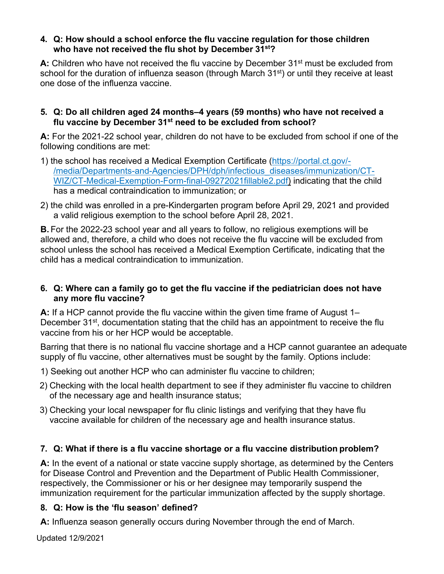### **4. Q: How should a school enforce the flu vaccine regulation for those children who have not received the flu shot by December 31st?**

A: Children who have not received the flu vaccine by December 31<sup>st</sup> must be excluded from school for the duration of influenza season (through March 31<sup>st</sup>) or until they receive at least one dose of the influenza vaccine.

### **5. Q: Do all children aged 24 months–4 years (59 months) who have not received a flu vaccine by December 31st need to be excluded from school?**

**A:** For the 2021-22 school year, children do not have to be excluded from school if one of the following conditions are met:

- 1) the school has received a Medical Exemption Certificate [\(https://portal.ct.gov/-](https://portal.ct.gov/-/media/Departments-and-Agencies/DPH/dph/infectious_diseases/immunization/CT-WIZ/CT-Medical-Exemption-Form-final-09272021fillable2.pdf) [/media/Departments-and-Agencies/DPH/dph/infectious\\_diseases/immunization/CT-](https://portal.ct.gov/-/media/Departments-and-Agencies/DPH/dph/infectious_diseases/immunization/CT-WIZ/CT-Medical-Exemption-Form-final-09272021fillable2.pdf)[WIZ/CT-Medical-Exemption-Form-final-09272021fillable2.pdf\)](https://portal.ct.gov/-/media/Departments-and-Agencies/DPH/dph/infectious_diseases/immunization/CT-WIZ/CT-Medical-Exemption-Form-final-09272021fillable2.pdf) indicating that the child has a medical contraindication to immunization; or
- 2) the child was enrolled in a pre-Kindergarten program before April 29, 2021 and provided a valid religious exemption to the school before April 28, 2021.

**B.** For the 2022-23 school year and all years to follow, no religious exemptions will be allowed and, therefore, a child who does not receive the flu vaccine will be excluded from school unless the school has received a Medical Exemption Certificate, indicating that the child has a medical contraindication to immunization.

### **6. Q: Where can a family go to get the flu vaccine if the pediatrician does not have any more flu vaccine?**

**A:** If a HCP cannot provide the flu vaccine within the given time frame of August 1– December 31<sup>st</sup>, documentation stating that the child has an appointment to receive the flu vaccine from his or her HCP would be acceptable.

Barring that there is no national flu vaccine shortage and a HCP cannot guarantee an adequate supply of flu vaccine, other alternatives must be sought by the family. Options include:

- 1) Seeking out another HCP who can administer flu vaccine to children;
- 2) Checking with the local health department to see if they administer flu vaccine to children of the necessary age and health insurance status;
- 3) Checking your local newspaper for flu clinic listings and verifying that they have flu vaccine available for children of the necessary age and health insurance status.

## **7. Q: What if there is a flu vaccine shortage or a flu vaccine distribution problem?**

**A:** In the event of a national or state vaccine supply shortage, as determined by the Centers for Disease Control and Prevention and the Department of Public Health Commissioner, respectively, the Commissioner or his or her designee may temporarily suspend the immunization requirement for the particular immunization affected by the supply shortage.

## **8. Q: How is the 'flu season' defined?**

**A:** Influenza season generally occurs during November through the end of March.